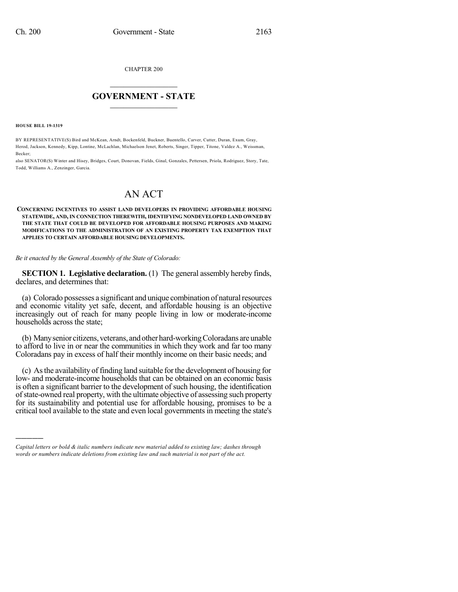CHAPTER 200

## $\mathcal{L}_\text{max}$  . The set of the set of the set of the set of the set of the set of the set of the set of the set of the set of the set of the set of the set of the set of the set of the set of the set of the set of the set **GOVERNMENT - STATE**  $\_$   $\_$   $\_$   $\_$   $\_$   $\_$   $\_$   $\_$   $\_$

**HOUSE BILL 19-1319**

)))))

BY REPRESENTATIVE(S) Bird and McKean, Arndt, Bockenfeld, Buckner, Buentello, Carver, Cutter, Duran, Exum, Gray, Herod, Jackson, Kennedy, Kipp, Lontine, McLachlan, Michaelson Jenet, Roberts, Singer, Tipper, Titone, Valdez A., Weissman, Becker;

also SENATOR(S) Winter and Hisey, Bridges, Court, Donovan, Fields, Ginal, Gonzales, Pettersen, Priola, Rodriguez, Story, Tate, Todd, Williams A., Zenzinger, Garcia.

## AN ACT

**CONCERNING INCENTIVES TO ASSIST LAND DEVELOPERS IN PROVIDING AFFORDABLE HOUSING STATEWIDE, AND, IN CONNECTION THEREWITH, IDENTIFYING NONDEVELOPED LAND OWNED BY THE STATE THAT COULD BE DEVELOPED FOR AFFORDABLE HOUSING PURPOSES AND MAKING MODIFICATIONS TO THE ADMINISTRATION OF AN EXISTING PROPERTY TAX EXEMPTION THAT APPLIES TO CERTAIN AFFORDABLE HOUSING DEVELOPMENTS.**

*Be it enacted by the General Assembly of the State of Colorado:*

**SECTION 1. Legislative declaration.** (1) The general assembly hereby finds, declares, and determines that:

(a) Colorado possesses a significant and unique combination of naturalresources and economic vitality yet safe, decent, and affordable housing is an objective increasingly out of reach for many people living in low or moderate-income households across the state;

(b) Manysenior citizens, veterans, andother hard-workingColoradans areunable to afford to live in or near the communities in which they work and far too many Coloradans pay in excess of half their monthly income on their basic needs; and

(c) Asthe availability of finding land suitable forthe development of housing for low- and moderate-income households that can be obtained on an economic basis is often a significant barrier to the development of such housing, the identification of state-owned real property, with the ultimate objective of assessing such property for its sustainability and potential use for affordable housing, promises to be a critical tool available to the state and even local governments in meeting the state's

*Capital letters or bold & italic numbers indicate new material added to existing law; dashes through words or numbers indicate deletions from existing law and such material is not part of the act.*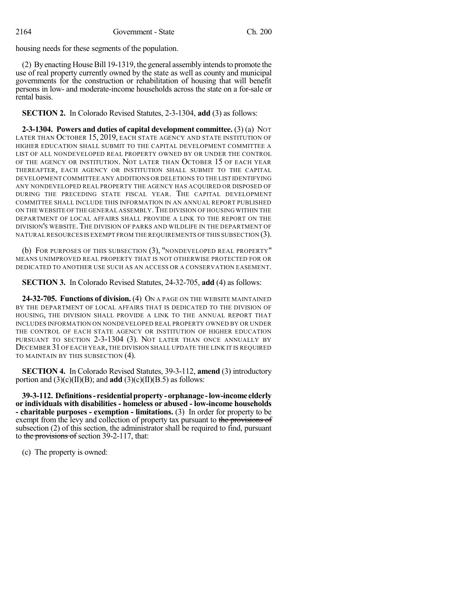housing needs for these segments of the population.

(2) By enacting House Bill 19-1319, the general assembly intends to promote the use of real property currently owned by the state as well as county and municipal governments for the construction or rehabilitation of housing that will benefit persons in low- and moderate-income households across the state on a for-sale or rental basis.

**SECTION 2.** In Colorado Revised Statutes, 2-3-1304, **add** (3) as follows:

**2-3-1304. Powers and duties of capital development committee.** (3) (a) NOT LATER THAN OCTOBER 15, 2019, EACH STATE AGENCY AND STATE INSTITUTION OF HIGHER EDUCATION SHALL SUBMIT TO THE CAPITAL DEVELOPMENT COMMITTEE A LIST OF ALL NONDEVELOPED REAL PROPERTY OWNED BY OR UNDER THE CONTROL OF THE AGENCY OR INSTITUTION. NOT LATER THAN OCTOBER 15 OF EACH YEAR THEREAFTER, EACH AGENCY OR INSTITUTION SHALL SUBMIT TO THE CAPITAL DEVELOPMENT COMMITTEE ANY ADDITIONS OR DELETIONS TO THE LIST IDENTIFYING ANY NONDEVELOPED REAL PROPERTY THE AGENCY HAS ACQUIRED OR DISPOSED OF DURING THE PRECEDING STATE FISCAL YEAR. THE CAPITAL DEVELOPMENT COMMITTEE SHALL INCLUDE THIS INFORMATION IN AN ANNUAL REPORT PUBLISHED ON THE WEBSITE OF THE GENERAL ASSEMBLY. THE DIVISION OF HOUSING WITHIN THE DEPARTMENT OF LOCAL AFFAIRS SHALL PROVIDE A LINK TO THE REPORT ON THE DIVISION'S WEBSITE.THE DIVISION OF PARKS AND WILDLIFE IN THE DEPARTMENT OF NATURAL RESOURCES IS EXEMPT FROM THE REQUIREMENTS OF THIS SUBSECTION (3).

(b) FOR PURPOSES OF THIS SUBSECTION (3), "NONDEVELOPED REAL PROPERTY" MEANS UNIMPROVED REAL PROPERTY THAT IS NOT OTHERWISE PROTECTED FOR OR DEDICATED TO ANOTHER USE SUCH AS AN ACCESS OR A CONSERVATION EASEMENT.

**SECTION 3.** In Colorado Revised Statutes, 24-32-705, **add** (4) as follows:

**24-32-705. Functions of division.** (4) ON A PAGE ON THE WEBSITE MAINTAINED BY THE DEPARTMENT OF LOCAL AFFAIRS THAT IS DEDICATED TO THE DIVISION OF HOUSING, THE DIVISION SHALL PROVIDE A LINK TO THE ANNUAL REPORT THAT INCLUDES INFORMATION ON NONDEVELOPED REAL PROPERTY OWNED BY OR UNDER THE CONTROL OF EACH STATE AGENCY OR INSTITUTION OF HIGHER EDUCATION PURSUANT TO SECTION 2-3-1304 (3). NOT LATER THAN ONCE ANNUALLY BY DECEMBER 31 OF EACH YEAR, THE DIVISION SHALL UPDATE THE LINK IT IS REQUIRED TO MAINTAIN BY THIS SUBSECTION (4).

**SECTION 4.** In Colorado Revised Statutes, 39-3-112, **amend** (3) introductory portion and (3)(c)(II)(B); and **add** (3)(c)(II)(B.5) as follows:

**39-3-112. Definitions- residentialproperty- orphanage -low-income elderly or individuals with disabilities - homeless or abused - low-income households - charitable purposes - exemption - limitations.** (3) In order for property to be exempt from the levy and collection of property tax pursuant to the provisions of subsection (2) of this section, the administrator shall be required to find, pursuant to the provisions of section 39-2-117, that:

(c) The property is owned: